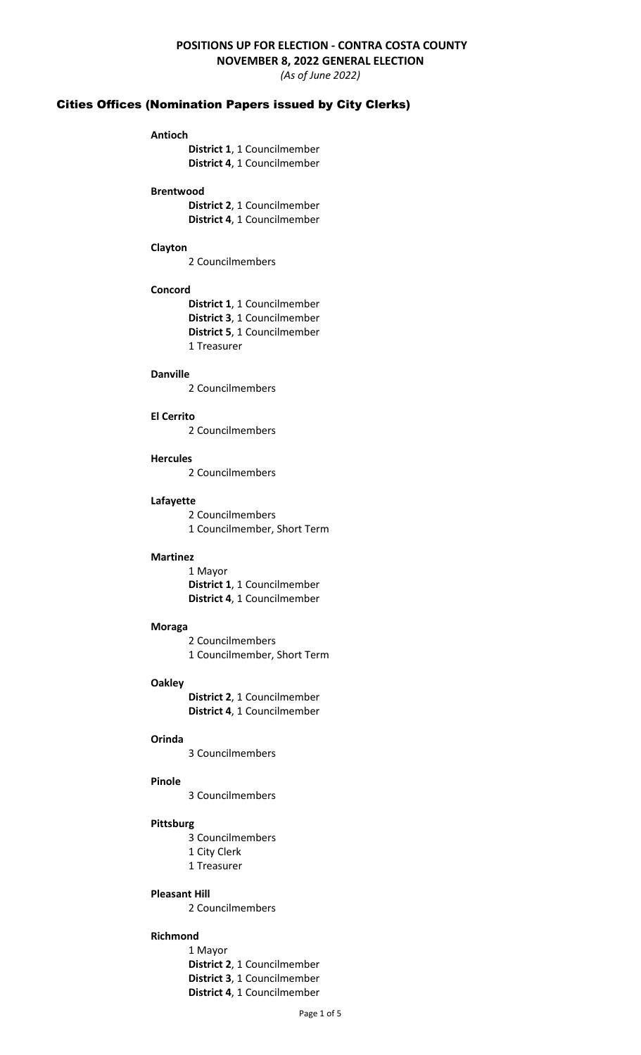# **POSITIONS UP FOR ELECTION - CONTRA COSTA COUNTY**

**NOVEMBER 8, 2022 GENERAL ELECTION**

*(As of June 2022)*

# Cities Offices (Nomination Papers issued by City Clerks)

# **Antioch**

**District 1**, 1 Councilmember **District 4**, 1 Councilmember

#### **Brentwood**

**District 2**, 1 Councilmember **District 4**, 1 Councilmember

#### **Clayton**

2 Councilmembers

# **Concord**

**District 1**, 1 Councilmember **District 3**, 1 Councilmember **District 5**, 1 Councilmember 1 Treasurer

# **Danville**

2 Councilmembers

#### **El Cerrito**

2 Councilmembers

# **Hercules**

2 Councilmembers

# **Lafayette**

2 Councilmembers 1 Councilmember, Short Term

#### **Martinez**

1 Mayor **District 1**, 1 Councilmember **District 4**, 1 Councilmember

# **Moraga**

2 Councilmembers 1 Councilmember, Short Term

# **Oakley**

**District 2**, 1 Councilmember **District 4**, 1 Councilmember

## **Orinda**

3 Councilmembers

## **Pinole**

3 Councilmembers

# **Pittsburg**

3 Councilmembers

- 1 City Clerk
- 1 Treasurer

#### **Pleasant Hill**

2 Councilmembers

# **Richmond**

1 Mayor **District 2**, 1 Councilmember **District 3**, 1 Councilmember **District 4**, 1 Councilmember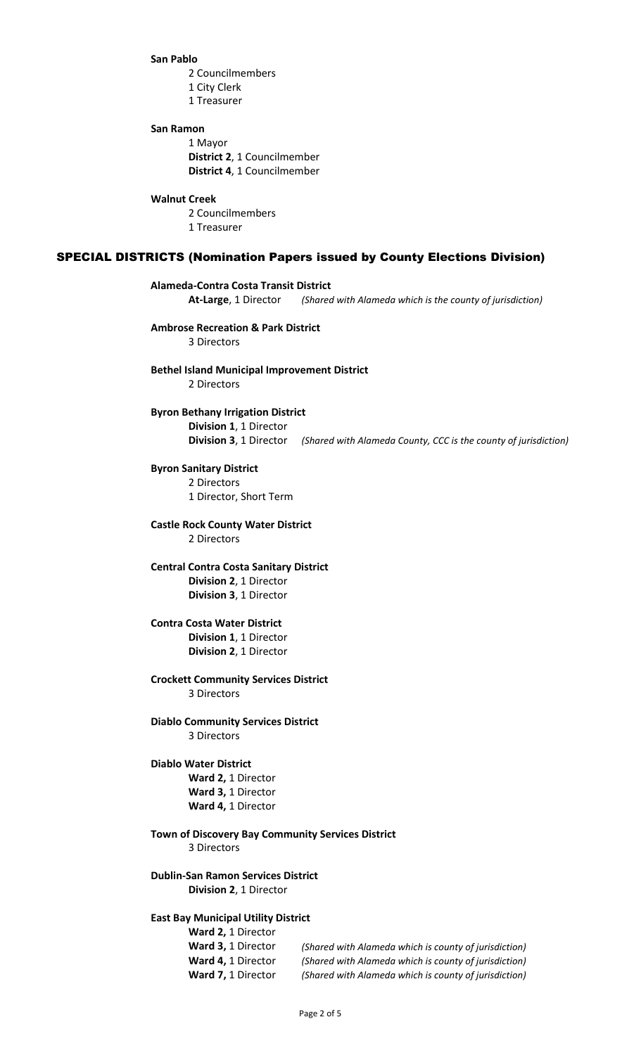#### **San Pablo**

2 Councilmembers

- 1 City Clerk
- 1 Treasurer

# **San Ramon**

1 Mayor **District 2**, 1 Councilmember **District 4**, 1 Councilmember

#### **Walnut Creek**

2 Councilmembers 1 Treasurer

## SPECIAL DISTRICTS (Nomination Papers issued by County Elections Division)

# **Alameda-Contra Costa Transit District**

**At-Large**, 1 Director *(Shared with Alameda which is the county of jurisdiction)*

# **Ambrose Recreation & Park District**

3 Directors

#### **Bethel Island Municipal Improvement District** 2 Directors

# **Byron Bethany Irrigation District Division 1**, 1 Director **Division 3**, 1 Director *(Shared with Alameda County, CCC is the county of jurisdiction)*

**Byron Sanitary District** 2 Directors

1 Director, Short Term

#### **Castle Rock County Water District** 2 Directors

**Central Contra Costa Sanitary District Division 2**, 1 Director **Division 3**, 1 Director

## **Contra Costa Water District Division 1**, 1 Director **Division 2**, 1 Director

#### **Crockett Community Services District** 3 Directors

**Diablo Community Services District** 3 Directors

# **Diablo Water District Ward 2,** 1 Director **Ward 3,** 1 Director **Ward 4,** 1 Director

#### **Town of Discovery Bay Community Services District** 3 Directors

# **Dublin-San Ramon Services District Division 2**, 1 Director

# **East Bay Municipal Utility District**

**Ward 2,** 1 Director

**Ward 3,** 1 Director *(Shared with Alameda which is county of jurisdiction)* **Ward 4,** 1 Director *(Shared with Alameda which is county of jurisdiction)* **Ward 7,** 1 Director *(Shared with Alameda which is county of jurisdiction)*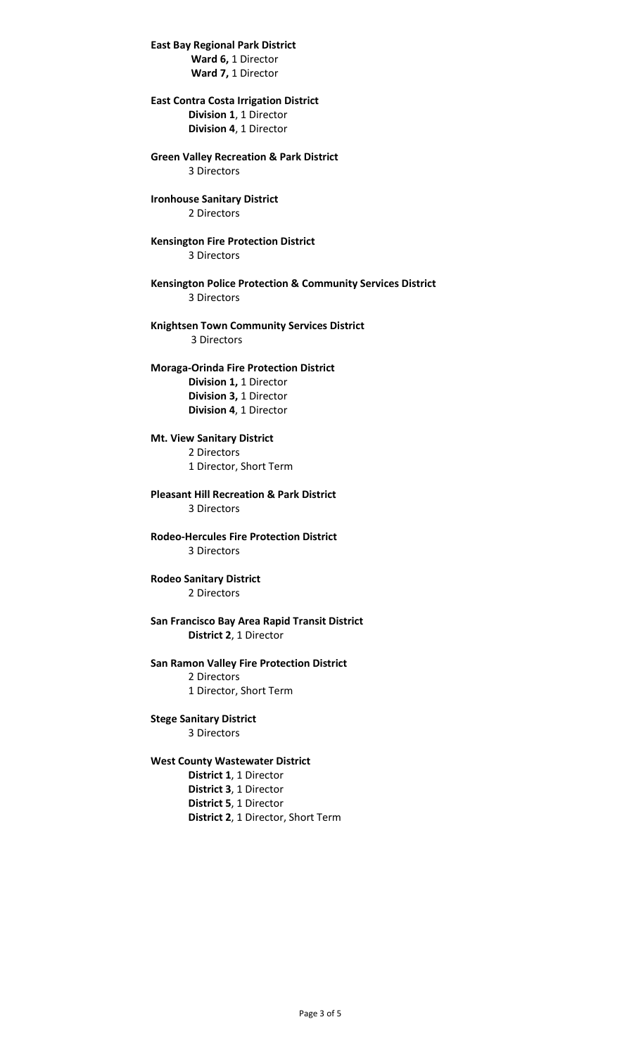**East Bay Regional Park District Ward 6,** 1 Director **Ward 7,** 1 Director

**East Contra Costa Irrigation District Division 1**, 1 Director **Division 4**, 1 Director

**Green Valley Recreation & Park District** 3 Directors

**Ironhouse Sanitary District** 2 Directors

**Kensington Fire Protection District** 3 Directors

**Kensington Police Protection & Community Services District** 3 Directors

**Knightsen Town Community Services District** 3 Directors

**Moraga-Orinda Fire Protection District Division 1,** 1 Director **Division 3,** 1 Director **Division 4**, 1 Director

**Mt. View Sanitary District** 2 Directors 1 Director, Short Term

**Pleasant Hill Recreation & Park District** 3 Directors

**Rodeo-Hercules Fire Protection District** 3 Directors

**Rodeo Sanitary District** 2 Directors

**San Francisco Bay Area Rapid Transit District District 2**, 1 Director

**San Ramon Valley Fire Protection District** 2 Directors 1 Director, Short Term

**Stege Sanitary District** 3 Directors

**West County Wastewater District**

**District 1**, 1 Director **District 3**, 1 Director **District 5**, 1 Director **District 2**, 1 Director, Short Term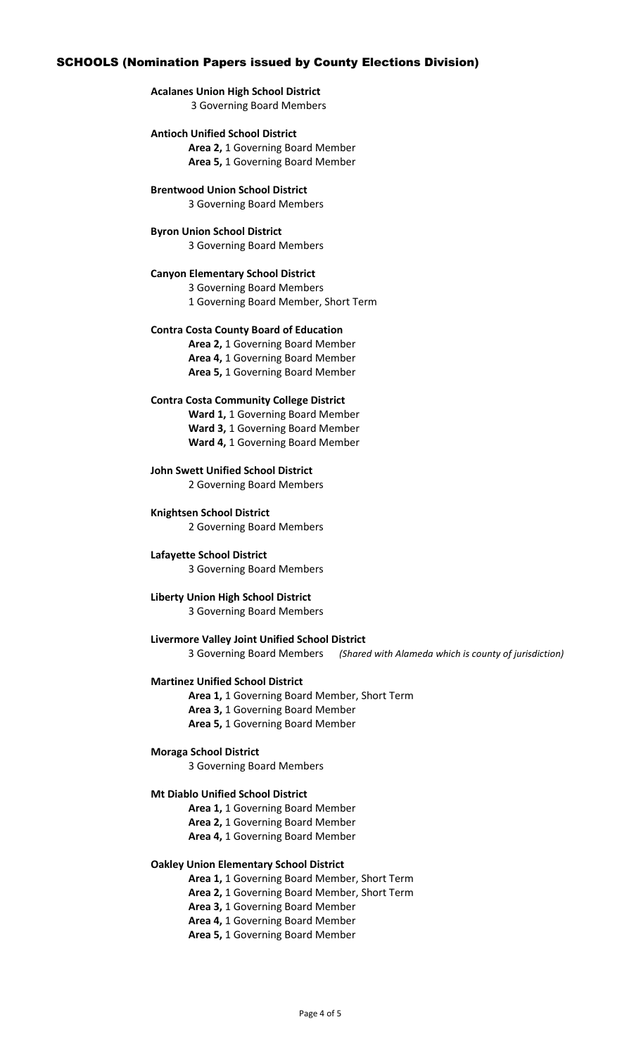# SCHOOLS (Nomination Papers issued by County Elections Division)

# **Acalanes Union High School District**

3 Governing Board Members

#### **Antioch Unified School District**

**Area 2,** 1 Governing Board Member **Area 5,** 1 Governing Board Member

**Brentwood Union School District**

3 Governing Board Members

#### **Byron Union School District**

3 Governing Board Members

## **Canyon Elementary School District**

3 Governing Board Members 1 Governing Board Member, Short Term

#### **Contra Costa County Board of Education**

**Area 2,** 1 Governing Board Member **Area 4,** 1 Governing Board Member **Area 5,** 1 Governing Board Member

#### **Contra Costa Community College District**

**Ward 1,** 1 Governing Board Member **Ward 3,** 1 Governing Board Member **Ward 4,** 1 Governing Board Member

**John Swett Unified School District** 2 Governing Board Members

**Knightsen School District** 2 Governing Board Members

**Lafayette School District** 3 Governing Board Members

# **Liberty Union High School District**

3 Governing Board Members

**Livermore Valley Joint Unified School District** 3 Governing Board Members *(Shared with Alameda which is county of jurisdiction)*

#### **Martinez Unified School District**

**Area 1,** 1 Governing Board Member, Short Term

**Area 3,** 1 Governing Board Member

**Area 5,** 1 Governing Board Member

#### **Moraga School District**

3 Governing Board Members

# **Mt Diablo Unified School District**

**Area 1,** 1 Governing Board Member

**Area 2,** 1 Governing Board Member

**Area 4,** 1 Governing Board Member

## **Oakley Union Elementary School District**

**Area 1,** 1 Governing Board Member, Short Term

**Area 2,** 1 Governing Board Member, Short Term

**Area 3,** 1 Governing Board Member

**Area 4,** 1 Governing Board Member

**Area 5,** 1 Governing Board Member